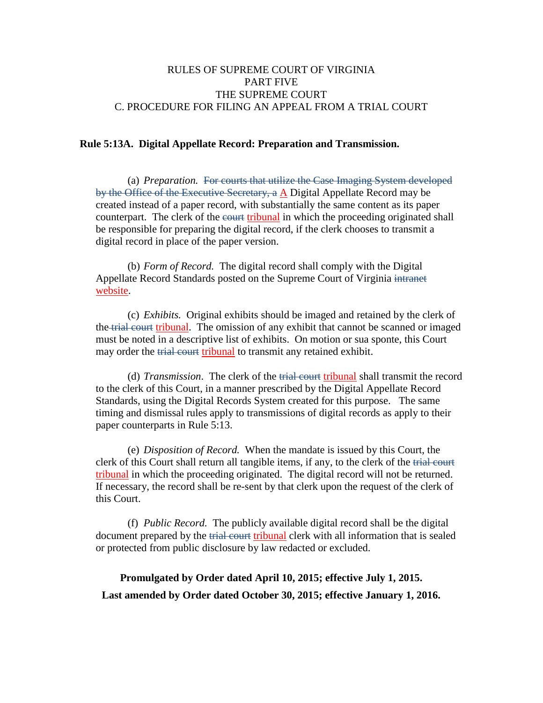# RULES OF SUPREME COURT OF VIRGINIA PART FIVE THE SUPREME COURT C. PROCEDURE FOR FILING AN APPEAL FROM A TRIAL COURT

### **Rule 5:13A. Digital Appellate Record: Preparation and Transmission.**

(a) *Preparation.* For courts that utilize the Case Imaging System developed by the Office of the Executive Secretary, a A Digital Appellate Record may be created instead of a paper record, with substantially the same content as its paper counterpart. The clerk of the eourt tribunal in which the proceeding originated shall be responsible for preparing the digital record, if the clerk chooses to transmit a digital record in place of the paper version.

(b) *Form of Record.* The digital record shall comply with the Digital Appellate Record Standards posted on the Supreme Court of Virginia intranet website.

(c) *Exhibits.* Original exhibits should be imaged and retained by the clerk of the trial court tribunal. The omission of any exhibit that cannot be scanned or imaged must be noted in a descriptive list of exhibits. On motion or sua sponte, this Court may order the trial court tribunal to transmit any retained exhibit.

(d) *Transmission*. The clerk of the trial court tribunal shall transmit the record to the clerk of this Court, in a manner prescribed by the Digital Appellate Record Standards, using the Digital Records System created for this purpose. The same timing and dismissal rules apply to transmissions of digital records as apply to their paper counterparts in Rule 5:13.

(e) *Disposition of Record.* When the mandate is issued by this Court, the clerk of this Court shall return all tangible items, if any, to the clerk of the trial court tribunal in which the proceeding originated. The digital record will not be returned. If necessary, the record shall be re-sent by that clerk upon the request of the clerk of this Court.

(f) *Public Record.* The publicly available digital record shall be the digital document prepared by the trial court tribunal clerk with all information that is sealed or protected from public disclosure by law redacted or excluded.

**Promulgated by Order dated April 10, 2015; effective July 1, 2015. Last amended by Order dated October 30, 2015; effective January 1, 2016.**